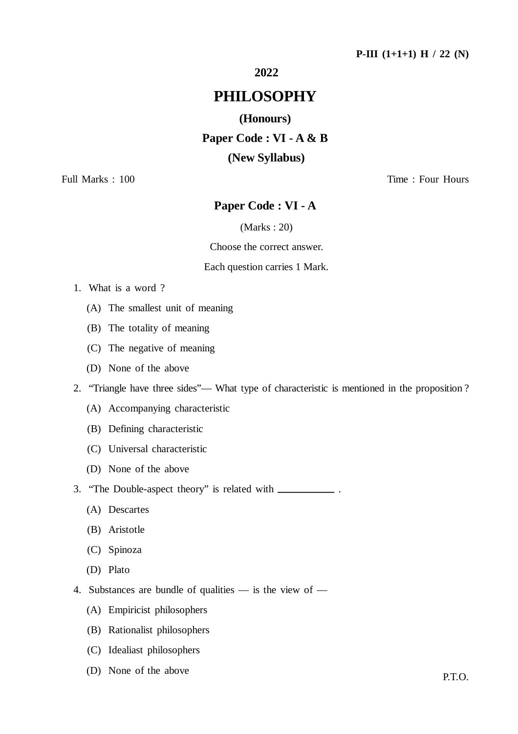#### **2022**

## **PHILOSOPHY**

#### **(Honours)**

**Paper Code : VI - A & B (New Syllabus)**

Full Marks : 100 Time : Four Hours

### **Paper Code : VI - A**

#### (Marks : 20)

#### Choose the correct answer.

#### Each question carries 1 Mark.

- 1. What is a word ?
	- (A) The smallest unit of meaning
	- (B) The totality of meaning
	- (C) The negative of meaning
	- (D) None of the above
- 2. "Triangle have three sides"— What type of characteristic is mentioned in the proposition ?
	- (A) Accompanying characteristic
	- (B) Defining characteristic
	- (C) Universal characteristic
	- (D) None of the above
- 3. "The Double-aspect theory" is related with .
	- (A) Descartes
	- (B) Aristotle
	- (C) Spinoza
	- (D) Plato
- 4. Substances are bundle of qualities is the view of
	- (A) Empiricist philosophers
	- (B) Rationalist philosophers
	- (C) Idealiast philosophers
	- (D) None of the above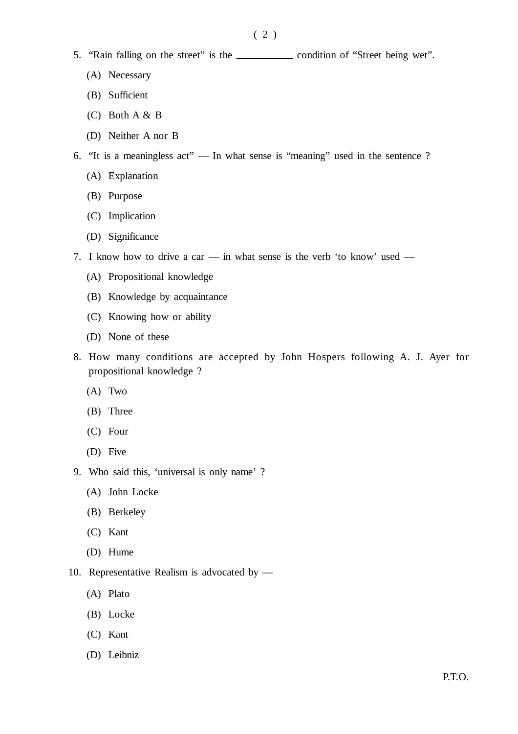- 5. "Rain falling on the street" is the condition of "Street being wet".
	- (A) Necessary
	- (B) Sufficient
	- (C) Both A & B
	- (D) Neither A nor B
- 6. "It is a meaningless act" In what sense is "meaning" used in the sentence ?
	- (A) Explanation
	- (B) Purpose
	- (C) Implication
	- (D) Significance
- 7. I know how to drive a car in what sense is the verb 'to know' used
	- (A) Propositional knowledge
	- (B) Knowledge by acquaintance
	- (C) Knowing how or ability
	- (D) None of these
- 8. How many conditions are accepted by John Hospers following A. J. Ayer for propositional knowledge ?
	- (A) Two
	- (B) Three
	- (C) Four
	- (D) Five
- 9. Who said this, 'universal is only name' ?
	- (A) John Locke
	- (B) Berkeley
	- (C) Kant
	- (D) Hume
- 10. Representative Realism is advocated by
	- (A) Plato
	- (B) Locke
	- (C) Kant
	- (D) Leibniz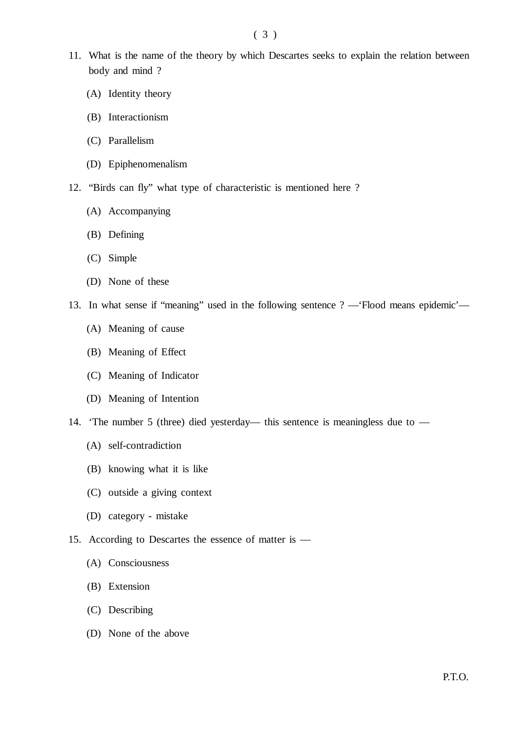- 11. What is the name of the theory by which Descartes seeks to explain the relation between body and mind ?
	- (A) Identity theory
	- (B) Interactionism
	- (C) Parallelism
	- (D) Epiphenomenalism
- 12. "Birds can fly" what type of characteristic is mentioned here ?
	- (A) Accompanying
	- (B) Defining
	- (C) Simple
	- (D) None of these
- 13. In what sense if "meaning" used in the following sentence ? —'Flood means epidemic'—
	- (A) Meaning of cause
	- (B) Meaning of Effect
	- (C) Meaning of Indicator
	- (D) Meaning of Intention
- 14. 'The number 5 (three) died yesterday— this sentence is meaningless due to
	- (A) self-contradiction
	- (B) knowing what it is like
	- (C) outside a giving context
	- (D) category mistake
- 15. According to Descartes the essence of matter is
	- (A) Consciousness
	- (B) Extension
	- (C) Describing
	- (D) None of the above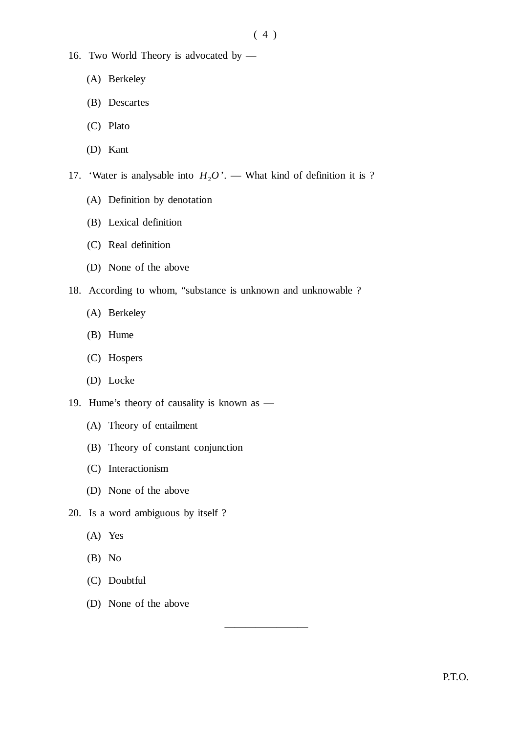- 16. Two World Theory is advocated by
	- (A) Berkeley
	- (B) Descartes
	- (C) Plato
	- (D) Kant
- 17. 'Water is analysable into  $H_2O'$ . What kind of definition it is ?
	- (A) Definition by denotation
	- (B) Lexical definition
	- (C) Real definition
	- (D) None of the above
- 18. According to whom, "substance is unknown and unknowable ?

————————

- (A) Berkeley
- (B) Hume
- (C) Hospers
- (D) Locke
- 19. Hume's theory of causality is known as
	- (A) Theory of entailment
	- (B) Theory of constant conjunction
	- (C) Interactionism
	- (D) None of the above
- 20. Is a word ambiguous by itself ?
	- (A) Yes
	- (B) No
	- (C) Doubtful
	- (D) None of the above